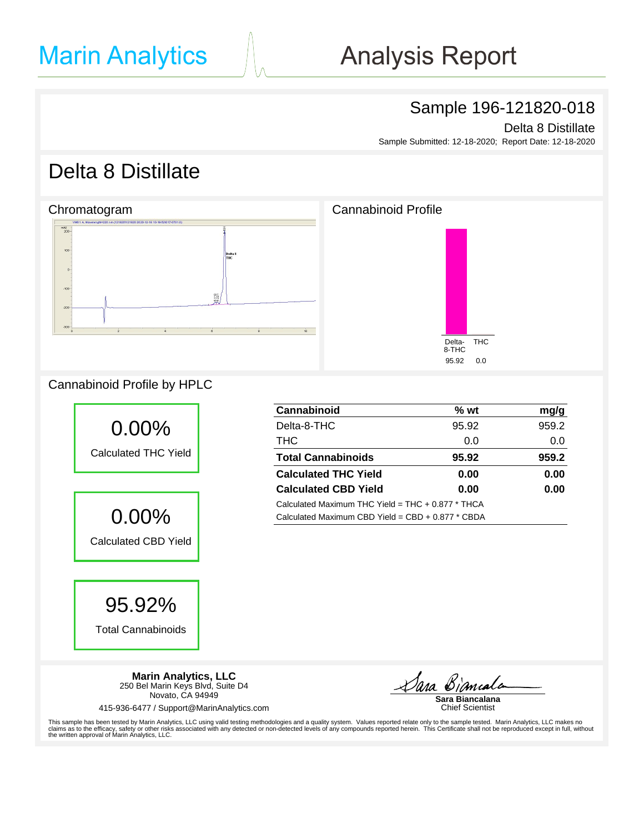# **Analysis Report**

### Sample 196-121820-018

Delta 8 Distillate

Sample Submitted: 12-18-2020; Report Date: 12-18-2020

### Delta 8 Distillate



#### Cannabinoid Profile by HPLC



| Cannabinoid                                         | $%$ wt | mg/g  |  |  |  |  |
|-----------------------------------------------------|--------|-------|--|--|--|--|
| Delta-8-THC                                         | 95.92  | 959.2 |  |  |  |  |
| <b>THC</b>                                          | 0.0    | 0.0   |  |  |  |  |
| <b>Total Cannabinoids</b>                           | 95.92  | 959.2 |  |  |  |  |
| <b>Calculated THC Yield</b>                         | 0.00   | 0.00  |  |  |  |  |
| <b>Calculated CBD Yield</b>                         | 0.00   | 0.00  |  |  |  |  |
| Calculated Maximum THC Yield = $THC + 0.877$ * THCA |        |       |  |  |  |  |
| Calculated Maximum CBD Yield = $CBD + 0.877 * CBDA$ |        |       |  |  |  |  |

**Marin Analytics, LLC** 250 Bel Marin Keys Blvd, Suite D4 Novato, CA 94949

415-936-6477 / Support@MarinAnalytics.com

Dara Biamala

**Sara Biancalana** Chief Scientist

This sample has been tested by Marin Analytics, LLC using valid testing methodologies and a quality system. Values reported relate only to the sample tested. Marin Analytics, LLC makes no<br>claims as to the efficacy, safety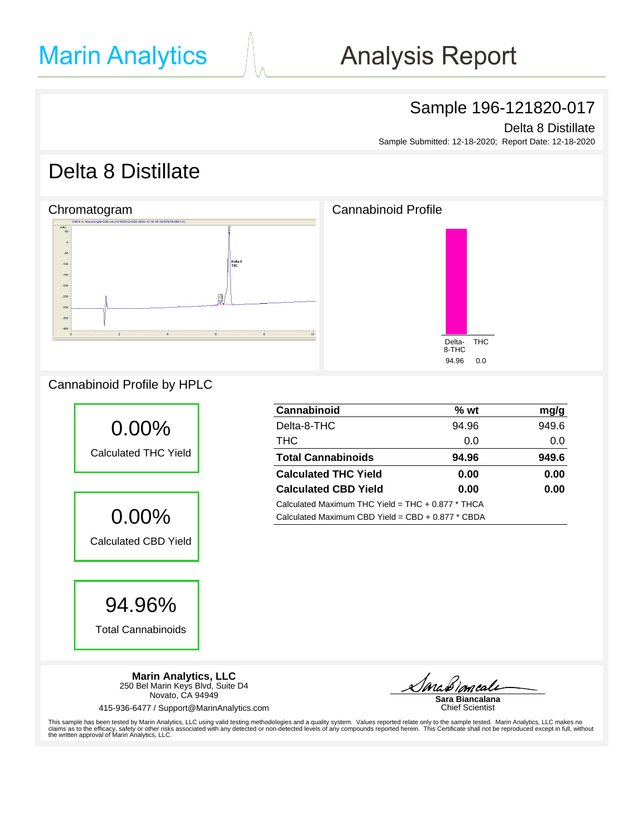# **Analysis Report**

### Sample 196-121820-017

Delta 8 Distillate

Sample Submitted: 12-18-2020; Report Date: 12-18-2020

## Delta 8 Distillate

#### Chromatogram Chromatogram Chromatogram Cannabinoid Profile  $.50$ Delta 8<br>THC  $-100$ -16  $-200$  $-260$  $\frac{58}{22}$  $-300$ -350  $-400$ THC Delta-8-THC 94.96 0.0

### Cannabinoid Profile by HPLC



94.96%

Total Cannabinoids

**Cannabinoid % wt mg/g** Delta-8-THC 94.96 949.6 THC 0.0 0.0 **Total Cannabinoids 94.96 949.6 Calculated THC Yield 0.00 0.00 Calculated CBD Yield 0.00 0.00** Calculated Maximum THC Yield = THC + 0.877 \* THCA Calculated Maximum CBD Yield = CBD + 0.877 \* CBDA

**Marin Analytics, LLC** 250 Bel Marin Keys Blvd, Suite D4 Novato, CA 94949

415-936-6477 / Support@MarinAnalytics.com

*Ma Bimcali*<br>Sara Biancalana

Chief Scientist

This sample has been tested by Marin Analytics, LLC using valid testing methodologies and a quality system. Values reported relate only to the sample tested. Marin Analytics, LLC makes no<br>claims as to the efficacy, safety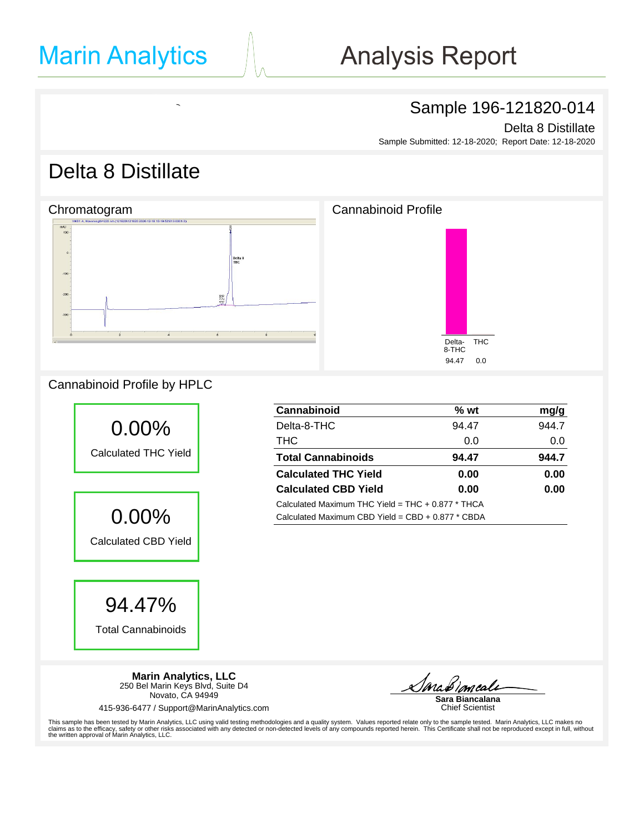MC<sub>Nutra</sub>ceuticals<br>McNutraceuticals

# **Analysis Report**

### Sample 196-121820-014

Delta 8 Distillate

Sample Submitted: 12-18-2020; Report Date: 12-18-2020

## Delta 8 Distillate



#### Cannabinoid Profile by HPLC



| <b>Cannabinoid</b>                                  | $%$ wt | mg/g  |  |  |  |
|-----------------------------------------------------|--------|-------|--|--|--|
| Delta-8-THC                                         | 94.47  | 944.7 |  |  |  |
| <b>THC</b>                                          | 0.0    | 0.0   |  |  |  |
| <b>Total Cannabinoids</b>                           | 94.47  | 944.7 |  |  |  |
| <b>Calculated THC Yield</b>                         | 0.00   | 0.00  |  |  |  |
| <b>Calculated CBD Yield</b>                         | 0.00   | 0.00  |  |  |  |
| Calculated Maximum THC Yield = $THC + 0.877$ * THCA |        |       |  |  |  |
| Calculated Maximum CBD Yield = $CBD + 0.877 * CBDA$ |        |       |  |  |  |

**Marin Analytics, LLC** 250 Bel Marin Keys Blvd, Suite D4 Novato, CA 94949

415-936-6477 / Support@MarinAnalytics.com

**Ma** Bimeale<br>Sara Biancalana

Chief Scientist

This sample has been tested by Marin Analytics, LLC using valid testing methodologies and a quality system. Values reported relate only to the sample tested. Marin Analytics, LLC makes no<br>claims as to the efficacy, safety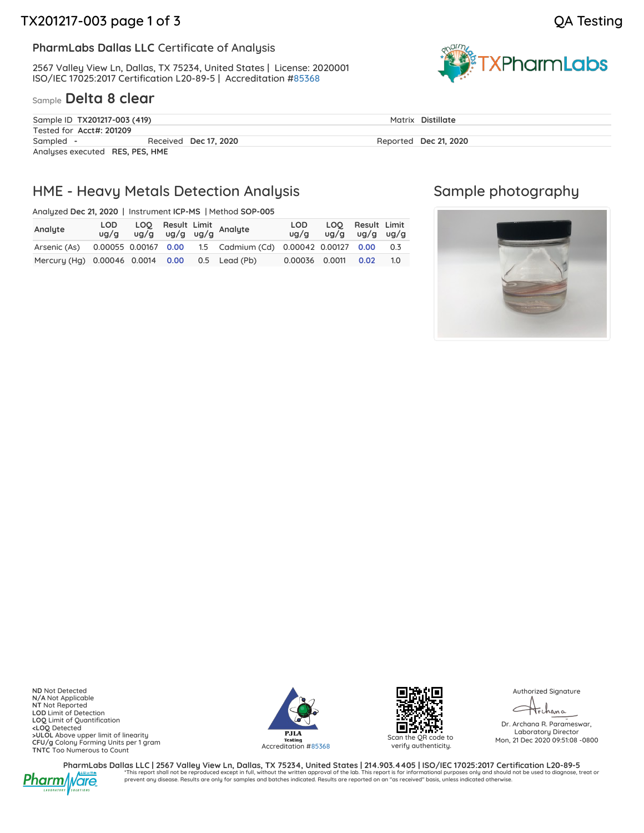#### **PharmLabs Dallas LLC** Certificate of Analysis

2567 Valley View Ln, Dallas, TX 75234, United States | License: 2020001 ISO/IEC 17025:2017 Certification L20-89-5 | Accreditation [#85368](https://www.dropbox.com/s/viyd644vbfncjoz/L20-89-5_PharmLabs_Dallas.pdf?dl=0)

#### Sample **Delta 8 clear**



| Sample ID TX201217-003 (419)    |                       | Matrix Distillate     |  |
|---------------------------------|-----------------------|-----------------------|--|
| Tested for Acct#: 201209        |                       |                       |  |
| Sampled -                       | Received Dec 17, 2020 | Reported Dec 21, 2020 |  |
| Analyses executed RES, PES, HME |                       |                       |  |

### HME - Heavy Metals Detection Analysis

Analyzed **Dec 21, 2020** | Instrument **ICP-MS** | Method **SOP-005**

| Analyte                                        |  |  | LOD LOQ Result Limit<br>ug/g ug/g ug/g ug/g Analyte                         | LOD                   | $\log/g$ $\log/g$ $\log/g$ $\log/g$ | LOO Result Limit |     |
|------------------------------------------------|--|--|-----------------------------------------------------------------------------|-----------------------|-------------------------------------|------------------|-----|
|                                                |  |  | Arsenic (As) 0.00055 0.00167 0.00 1.5 Cadmium (Cd) 0.00042 0.00127 0.00 0.3 |                       |                                     |                  |     |
| Mercury (Hg) 0.00046 0.0014 0.00 0.5 Lead (Pb) |  |  |                                                                             | 0.00036  0.0011  0.02 |                                     |                  | 1.0 |

### Sample photography



**ND** Not Detected **N/A** Not Applicable **NT** Not Reported **LOD** Limit of Detection **LOQ** Limit of Quantification **<LOQ** Detected **>ULOL** Above upper limit of linearity **CFU/g** Colony Forming Units per 1 gram **TNTC** Too Numerous to Count





Scan the QR code to verify authenticity.

Authorized Signature

trihana

Dr. Archana R. Parameswar, Laboratory Director Mon, 21 Dec 2020 09:51:08 -0800



PharmLabs Dallas LLC | 2567 Valley View Ln, Dallas, TX 75234, United States | 214.903.4405 | ISO/IEC 17025:2017 Certification L20-89-5 \*This report shall not be reproduced except in full, without the written approval of the lab. This report is for informational purposes only and should not be used to diagnose, treat or prevent any disease. Results are only for samples and batches indicated. Results are reported on an "as received" basis, unless indicated otherwise.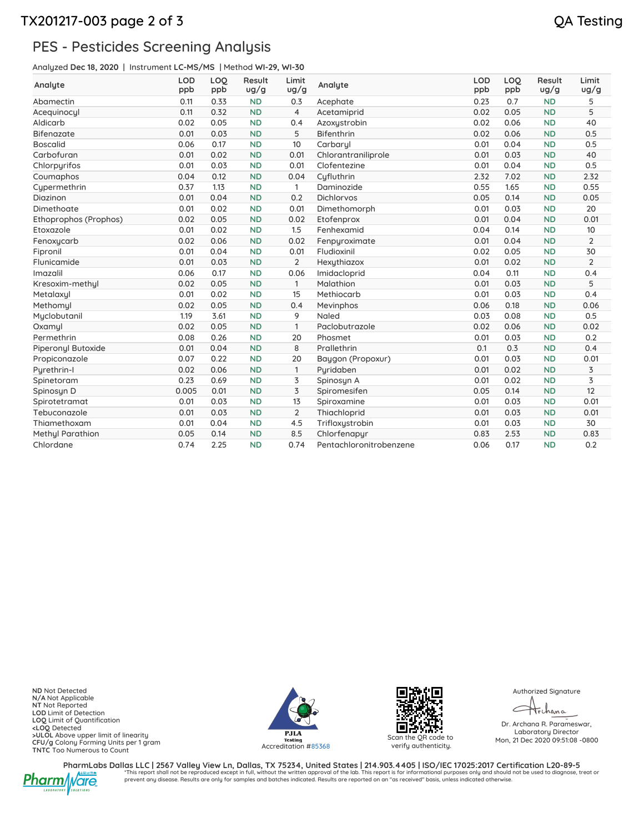### TX201217-003 page 2 of 3 QA Testing

### PES - Pesticides Screening Analysis

Analyzed **Dec 18, 2020** | Instrument **LC-MS/MS** | Method **WI-29, WI-30**

| Analyte                 | <b>LOD</b><br>ppb | LOQ<br>ppb | Result<br>ug/g | Limit<br>ug/g  | Analyte                 | <b>LOD</b><br>ppb | LOQ<br>ppb | Result<br>ug/g | Limit<br>ug/g  |
|-------------------------|-------------------|------------|----------------|----------------|-------------------------|-------------------|------------|----------------|----------------|
| Abamectin               | 0.11              | 0.33       | <b>ND</b>      | 0.3            | Acephate                | 0.23              | 0.7        | <b>ND</b>      | 5              |
| Acequinocyl             | 0.11              | 0.32       | <b>ND</b>      | $\overline{4}$ | Acetamiprid             | 0.02              | 0.05       | <b>ND</b>      | 5              |
| Aldicarb                | 0.02              | 0.05       | <b>ND</b>      | 0.4            | Azoxystrobin            | 0.02              | 0.06       | <b>ND</b>      | 40             |
| <b>Bifenazate</b>       | 0.01              | 0.03       | <b>ND</b>      | 5              | <b>Bifenthrin</b>       | 0.02              | 0.06       | <b>ND</b>      | 0.5            |
| <b>Boscalid</b>         | 0.06              | 0.17       | <b>ND</b>      | 10             | Carbaryl                | 0.01              | 0.04       | <b>ND</b>      | 0.5            |
| Carbofuran              | 0.01              | 0.02       | <b>ND</b>      | 0.01           | Chlorantraniliprole     | 0.01              | 0.03       | <b>ND</b>      | 40             |
| Chlorpyrifos            | 0.01              | 0.03       | <b>ND</b>      | 0.01           | Clofentezine            | 0.01              | 0.04       | <b>ND</b>      | 0.5            |
| Coumaphos               | 0.04              | 0.12       | <b>ND</b>      | 0.04           | Cufluthrin              | 2.32              | 7.02       | <b>ND</b>      | 2.32           |
| Cypermethrin            | 0.37              | 1.13       | <b>ND</b>      | $\mathbf{1}$   | Daminozide              | 0.55              | 1.65       | <b>ND</b>      | 0.55           |
| Diazinon                | 0.01              | 0.04       | <b>ND</b>      | 0.2            | <b>Dichlorvos</b>       | 0.05              | 0.14       | <b>ND</b>      | 0.05           |
| Dimethoate              | 0.01              | 0.02       | <b>ND</b>      | 0.01           | Dimethomorph            | 0.01              | 0.03       | <b>ND</b>      | 20             |
| Ethoprophos (Prophos)   | 0.02              | 0.05       | <b>ND</b>      | 0.02           | Etofenprox              | 0.01              | 0.04       | <b>ND</b>      | 0.01           |
| Etoxazole               | 0.01              | 0.02       | <b>ND</b>      | 1.5            | Fenhexamid              | 0.04              | 0.14       | <b>ND</b>      | 10             |
| Fenoxycarb              | 0.02              | 0.06       | <b>ND</b>      | 0.02           | Fenpyroximate           | 0.01              | 0.04       | <b>ND</b>      | $\overline{2}$ |
| Fipronil                | 0.01              | 0.04       | <b>ND</b>      | 0.01           | Fludioxinil             | 0.02              | 0.05       | <b>ND</b>      | 30             |
| Flunicamide             | 0.01              | 0.03       | <b>ND</b>      | $\overline{2}$ | Hexythiazox             | 0.01              | 0.02       | <b>ND</b>      | $\overline{2}$ |
| Imazalil                | 0.06              | 0.17       | <b>ND</b>      | 0.06           | Imidacloprid            | 0.04              | 0.11       | <b>ND</b>      | 0.4            |
| Kresoxim-methul         | 0.02              | 0.05       | <b>ND</b>      | $\mathbf{1}$   | Malathion               | 0.01              | 0.03       | <b>ND</b>      | 5              |
| Metalaxyl               | 0.01              | 0.02       | <b>ND</b>      | 15             | Methiocarb              | 0.01              | 0.03       | <b>ND</b>      | 0.4            |
| Methomyl                | 0.02              | 0.05       | <b>ND</b>      | 0.4            | Mevinphos               | 0.06              | 0.18       | <b>ND</b>      | 0.06           |
| Myclobutanil            | 1.19              | 3.61       | <b>ND</b>      | 9              | Naled                   | 0.03              | 0.08       | <b>ND</b>      | 0.5            |
| Oxamul                  | 0.02              | 0.05       | <b>ND</b>      | $\mathbf{1}$   | Paclobutrazole          | 0.02              | 0.06       | <b>ND</b>      | 0.02           |
| Permethrin              | 0.08              | 0.26       | <b>ND</b>      | 20             | Phosmet                 | 0.01              | 0.03       | <b>ND</b>      | 0.2            |
| Piperonyl Butoxide      | 0.01              | 0.04       | <b>ND</b>      | 8              | Prallethrin             | 0.1               | 0.3        | <b>ND</b>      | 0.4            |
| Propiconazole           | 0.07              | 0.22       | <b>ND</b>      | 20             | Baygon (Propoxur)       | 0.01              | 0.03       | <b>ND</b>      | 0.01           |
| Purethrin-I             | 0.02              | 0.06       | <b>ND</b>      | $\mathbf{1}$   | Puridaben               | 0.01              | 0.02       | <b>ND</b>      | 3              |
| Spinetoram              | 0.23              | 0.69       | <b>ND</b>      | 3              | Spinosyn A              | 0.01              | 0.02       | <b>ND</b>      | 3              |
| Spinosyn D              | 0.005             | 0.01       | <b>ND</b>      | 3              | Spiromesifen            | 0.05              | 0.14       | <b>ND</b>      | 12             |
| Spirotetramat           | 0.01              | 0.03       | <b>ND</b>      | 13             | Spiroxamine             | 0.01              | 0.03       | <b>ND</b>      | 0.01           |
| Tebuconazole            | 0.01              | 0.03       | <b>ND</b>      | $\overline{2}$ | Thiachloprid            | 0.01              | 0.03       | <b>ND</b>      | 0.01           |
| Thiamethoxam            | 0.01              | 0.04       | <b>ND</b>      | 4.5            | Trifloxystrobin         | 0.01              | 0.03       | <b>ND</b>      | 30             |
| <b>Methyl Parathion</b> | 0.05              | 0.14       | <b>ND</b>      | 8.5            | Chlorfenapyr            | 0.83              | 2.53       | <b>ND</b>      | 0.83           |
| Chlordane               | 0.74              | 2.25       | <b>ND</b>      | 0.74           | Pentachloronitrobenzene | 0.06              | 0.17       | <b>ND</b>      | 0.2            |

**ND** Not Detected **N/A** Not Applicable **NT** Not Reported **LOD** Limit of Detection<br>**<LOQ** Limit of Quantification<br>**<LOQ** Detected<br>**>ULOL** Above upper limit of linearity<br>**CFU/g** Colony Forming Units per 1 gram<br>**TNTC** Too Numerous to Count





Scan the QR code to verify authenticity.

Authorized Signature

trchana ✓

Dr. Archana R. Parameswar, Laboratory Director Mon, 21 Dec 2020 09:51:08 -0800



PharmLabs Dallas LLC | 2567 Valley View Ln, Dallas, TX 75234, United States | 214.903.4405 | ISO/IEC 17025:2017 Certification L20-89-5<br>This repert shall not be reproduced except in full, without the written approval of the